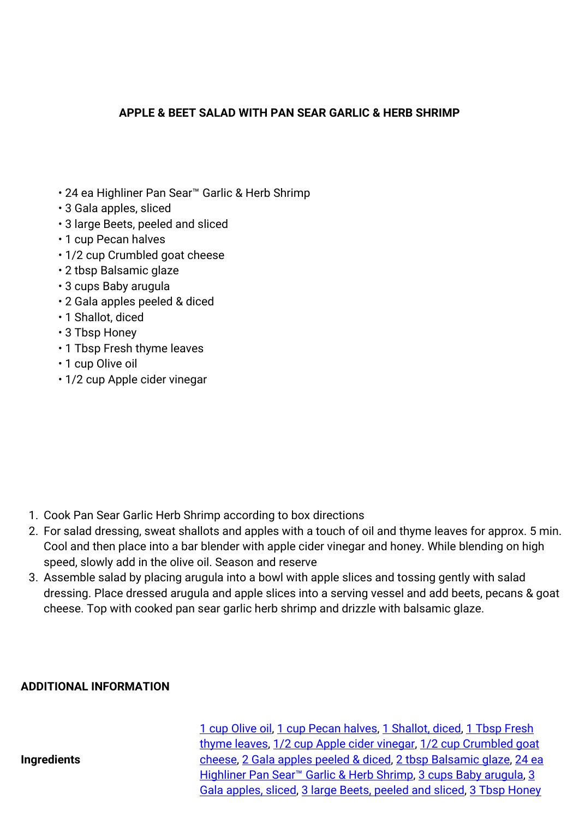## **APPLE & BEET SALAD WITH PAN SEAR GARLIC & HERB SHRIMP**

- 24 ea Highliner Pan Sear™ Garlic & Herb Shrimp
- 3 Gala apples, sliced
- 3 large Beets, peeled and sliced
- 1 cup Pecan halves
- 1/2 cup Crumbled goat cheese
- 2 tbsp Balsamic glaze
- 3 cups Baby arugula
- 2 Gala apples peeled & diced
- 1 Shallot, diced
- 3 Tbsp Honey
- 1 Tbsp Fresh thyme leaves
- 1 cup Olive oil
- 1/2 cup Apple cider vinegar

- 1. Cook Pan Sear Garlic Herb Shrimp according to box directions
- 2. For salad dressing, sweat shallots and apples with a touch of oil and thyme leaves for approx. 5 min. Cool and then place into a bar blender with apple cider vinegar and honey. While blending on high speed, slowly add in the olive oil. Season and reserve
- 3. Assemble salad by placing arugula into a bowl with apple slices and tossing gently with salad dressing. Place dressed arugula and apple slices into a serving vessel and add beets, pecans & goat cheese. Top with cooked pan sear garlic herb shrimp and drizzle with balsamic glaze.

## **ADDITIONAL INFORMATION**

**Ingredients**

[1 cup Olive oil,](https://ginsbergs.com/ingredients/1-cup-olive-oil/) [1 cup Pecan halves,](https://ginsbergs.com/ingredients/1-cup-pecan-halves/) [1 Shallot, diced](https://ginsbergs.com/ingredients/1-shallot-diced/), [1 Tbsp Fresh](https://ginsbergs.com/ingredients/1-tbsp-fresh-thyme-leaves/) [thyme leaves,](https://ginsbergs.com/ingredients/1-tbsp-fresh-thyme-leaves/) [1/2 cup Apple cider vinegar,](https://ginsbergs.com/ingredients/1-2-cup-apple-cider-vinegar/) [1/2 cup Crumbled goat](https://ginsbergs.com/ingredients/1-2-cup-crumbled-goat-cheese/) [cheese,](https://ginsbergs.com/ingredients/1-2-cup-crumbled-goat-cheese/) [2 Gala apples peeled & diced](https://ginsbergs.com/ingredients/2-gala-apples-peeled-diced/), [2 tbsp Balsamic glaze](https://ginsbergs.com/ingredients/2-tbsp-balsamic-glaze/), [24 ea](https://ginsbergs.com/ingredients/24-ea-highliner-pan-sear-garlic-herb-shrimp/) [Highliner Pan Sear™ Garlic & Herb Shrimp](https://ginsbergs.com/ingredients/24-ea-highliner-pan-sear-garlic-herb-shrimp/), [3 cups Baby arugula](https://ginsbergs.com/ingredients/3-cups-baby-arugula/), [3](https://ginsbergs.com/ingredients/3-gala-apples-sliced/) [Gala apples, sliced,](https://ginsbergs.com/ingredients/3-gala-apples-sliced/) [3 large Beets, peeled and sliced,](https://ginsbergs.com/ingredients/3-large-beets-peeled-and-sliced/) 3 Tbsp Honev